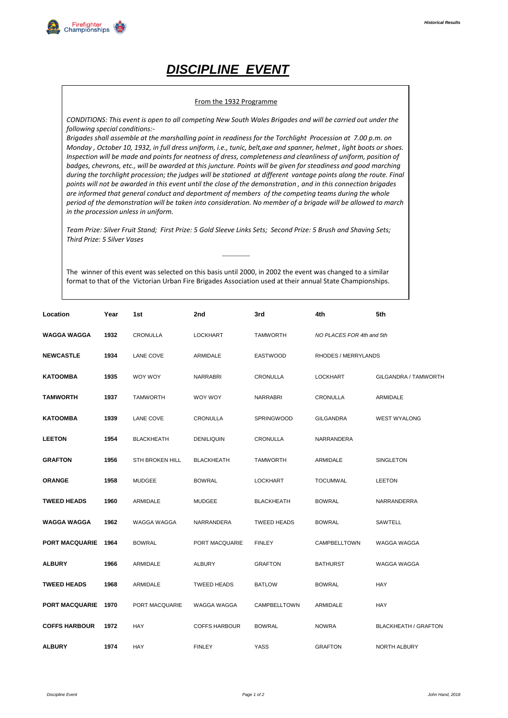## *DISCIPLINE EVENT*

## From the 1932 Programme

*CONDITIONS: This event is open to all competing New South Wales Brigades and will be carried out under the following special conditions:-*

*Brigades shall assemble at the marshalling point in readiness for the Torchlight Procession at 7.00 p.m. on Monday , October 10, 1932, in full dress uniform, i.e., tunic, belt,axe and spanner, helmet , light boots or shoes. Inspection will be made and points for neatness of dress, completeness and cleanliness of uniform, position of badges, chevrons, etc., will be awarded at this juncture. Points will be given for steadiness and good marching during the torchlight procession; the judges will be stationed at different vantage points along the route. Final points will not be awarded in this event until the close of the demonstration , and in this connection brigades are informed that general conduct and deportment of members of the competing teams during the whole period of the demonstration will be taken into consideration. No member of a brigade will be allowed to march in the procession unless in uniform.*

*Team Prize: Silver Fruit Stand; First Prize: 5 Gold Sleeve Links Sets; Second Prize: 5 Brush and Shaving Sets; Third Prize: 5 Silver Vases*

*--------------*

The winner of this event was selected on this basis until 2000, in 2002 the event was changed to a similar format to that of the Victorian Urban Fire Brigades Association used at their annual State Championships.

| Location              | Year | 1st                    | 2nd                  | 3rd                | 4th                       | 5th                         |
|-----------------------|------|------------------------|----------------------|--------------------|---------------------------|-----------------------------|
| <b>WAGGA WAGGA</b>    | 1932 | CRONULLA               | <b>LOCKHART</b>      | <b>TAMWORTH</b>    | NO PLACES FOR 4th and 5th |                             |
| <b>NEWCASTLE</b>      | 1934 | LANE COVE              | ARMIDALE             | <b>EASTWOOD</b>    | RHODES / MERRYLANDS       |                             |
| KATOOMBA              | 1935 | WOY WOY                | <b>NARRABRI</b>      | CRONULLA           | <b>LOCKHART</b>           | GILGANDRA / TAMWORTH        |
| TAMWORTH              | 1937 | <b>TAMWORTH</b>        | WOY WOY              | NARRABRI           | CRONULLA                  | ARMIDALE                    |
| <b>KATOOMBA</b>       | 1939 | LANE COVE              | <b>CRONULLA</b>      | <b>SPRINGWOOD</b>  | <b>GILGANDRA</b>          | <b>WEST WYALONG</b>         |
| <b>LEETON</b>         | 1954 | <b>BLACKHEATH</b>      | DENILIQUIN           | CRONULLA           | NARRANDERA                |                             |
| <b>GRAFTON</b>        | 1956 | <b>STH BROKEN HILL</b> | <b>BLACKHEATH</b>    | <b>TAMWORTH</b>    | ARMIDALE                  | SINGLETON                   |
| <b>ORANGE</b>         | 1958 | <b>MUDGEE</b>          | <b>BOWRAL</b>        | <b>LOCKHART</b>    | <b>TOCUMWAL</b>           | <b>LEETON</b>               |
| <b>TWEED HEADS</b>    | 1960 | ARMIDALE               | <b>MUDGEE</b>        | <b>BLACKHEATH</b>  | <b>BOWRAL</b>             | NARRANDERRA                 |
| <b>WAGGA WAGGA</b>    | 1962 | WAGGA WAGGA            | NARRANDERA           | <b>TWEED HEADS</b> | <b>BOWRAL</b>             | SAWTELL                     |
| <b>PORT MACQUARIE</b> | 1964 | <b>BOWRAL</b>          | PORT MACQUARIE       | <b>FINLEY</b>      | CAMPBELLTOWN              | WAGGA WAGGA                 |
| <b>ALBURY</b>         | 1966 | ARMIDALE               | <b>ALBURY</b>        | <b>GRAFTON</b>     | <b>BATHURST</b>           | WAGGA WAGGA                 |
| <b>TWEED HEADS</b>    | 1968 | ARMIDALE               | <b>TWEED HEADS</b>   | <b>BATLOW</b>      | <b>BOWRAL</b>             | HAY                         |
| <b>PORT MACQUARIE</b> | 1970 | PORT MACQUARIE         | WAGGA WAGGA          | CAMPBELLTOWN       | ARMIDALE                  | HAY                         |
| <b>COFFS HARBOUR</b>  | 1972 | HAY                    | <b>COFFS HARBOUR</b> | <b>BOWRAL</b>      | <b>NOWRA</b>              | <b>BLACKHEATH / GRAFTON</b> |
| <b>ALBURY</b>         | 1974 | HAY                    | <b>FINLEY</b>        | <b>YASS</b>        | <b>GRAFTON</b>            | <b>NORTH ALBURY</b>         |